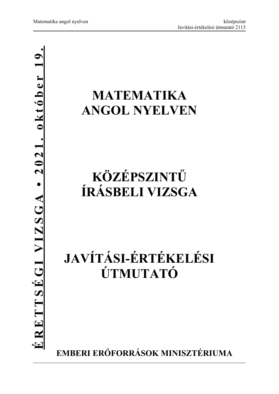## **MATEMATIKA ANGOL NYELVEN**

## **KÖZÉPSZINTŰ ÍRÁSBELI VIZSGA**

# **JAVÍTÁSI-ÉRTÉKELÉSI ÚTMUTATÓ**

**EMBERI ERŐFORRÁSOK MINISZTÉRIUMA**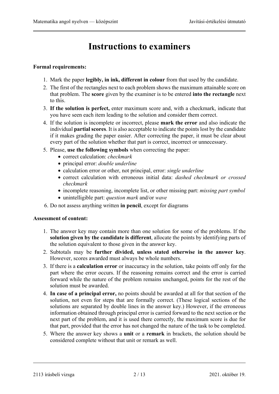### **Instructions to examiners**

#### **Formal requirements:**

- 1. Mark the paper **legibly, in ink, different in colour** from that used by the candidate.
- 2. The first of the rectangles next to each problem shows the maximum attainable score on that problem. The **score** given by the examiner is to be entered **into the rectangle** next to this.
- 3. **If the solution is perfect,** enter maximum score and, with a checkmark, indicate that you have seen each item leading to the solution and consider them correct.
- 4. If the solution is incomplete or incorrect, please **mark the error** and also indicate the individual **partial scores**. It is also acceptable to indicate the points lost by the candidate if it makes grading the paper easier. After correcting the paper, it must be clear about every part of the solution whether that part is correct, incorrect or unnecessary.
- 5. Please, **use the following symbols** when correcting the paper:
	- correct calculation: *checkmark*
	- principal error: *double underline*
	- calculation error or other, not principal, error: *single underline*
	- correct calculation with erroneous initial data: *dashed checkmark or crossed checkmark*
	- incomplete reasoning, incomplete list, or other missing part: *missing part symbol*
	- unintelligible part: *question mark* and/or *wave*
- 6. Do not assess anything written **in pencil**, except for diagrams

#### **Assessment of content:**

- 1. The answer key may contain more than one solution for some of the problems. If the **solution given by the candidate is different**, allocate the points by identifying parts of the solution equivalent to those given in the answer key.
- 2. Subtotals may be **further divided, unless stated otherwise in the answer key**. However, scores awarded must always be whole numbers.
- 3. If there is a **calculation error** or inaccuracy in the solution, take points off only for the part where the error occurs. If the reasoning remains correct and the error is carried forward while the nature of the problem remains unchanged, points for the rest of the solution must be awarded.
- 4. **In case of a principal error,** no points should be awarded at all for that section of the solution, not even for steps that are formally correct. (These logical sections of the solutions are separated by double lines in the answer key.) However, if the erroneous information obtained through principal error is carried forward to the next section or the next part of the problem, and it is used there correctly, the maximum score is due for that part, provided that the error has not changed the nature of the task to be completed.
- 5. Where the answer key shows a **unit** or a **remark** in brackets, the solution should be considered complete without that unit or remark as well.

<sup>2113</sup> írásbeli vizsga 2 / 13 2021. október 19.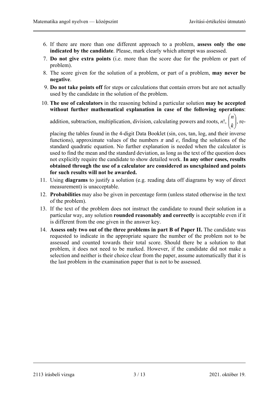- 6. If there are more than one different approach to a problem, **assess only the one indicated by the candidate**. Please, mark clearly which attempt was assessed.
- 7. **Do not give extra points** (i.e. more than the score due for the problem or part of problem).
- 8. The score given for the solution of a problem, or part of a problem, **may never be negative**.
- 9. **Do not take points off** for steps or calculations that contain errors but are not actually used by the candidate in the solution of the problem.
- 10. **The use of calculators** in the reasoning behind a particular solution **may be accepted without further mathematical explanation in case of the following operations**:

addition, subtraction, multiplication, division, calculating powers and roots,  $n!$ ,  $\begin{bmatrix} n \\ k \end{bmatrix}$  $\left( \frac{1}{2} \right)$  $\left( \right)$  $\overline{\phantom{a}}$  $\overline{\mathcal{L}}$ ſ *k n* , re-

placing the tables found in the 4-digit Data Booklet (sin, cos, tan, log, and their inverse functions), approximate values of the numbers  $\pi$  and  $e$ , finding the solutions of the standard quadratic equation. No further explanation is needed when the calculator is used to find the mean and the standard deviation, as long as the text of the question does not explicitly require the candidate to show detailed work. **In any other cases, results obtained through the use of a calculator are considered as unexplained and points for such results will not be awarded.**

- 11. Using **diagrams** to justify a solution (e.g. reading data off diagrams by way of direct measurement) is unacceptable.
- 12. **Probabilities** may also be given in percentage form (unless stated otherwise in the text of the problem).
- 13. If the text of the problem does not instruct the candidate to round their solution in a particular way, any solution **rounded reasonably and correctly** is acceptable even if it is different from the one given in the answer key.
- 14. **Assess only two out of the three problems in part B of Paper II.** The candidate was requested to indicate in the appropriate square the number of the problem not to be assessed and counted towards their total score. Should there be a solution to that problem, it does not need to be marked. However, if the candidate did not make a selection and neither is their choice clear from the paper, assume automatically that it is the last problem in the examination paper that is not to be assessed.

2113 írásbeli vizsga 3 / 13 2021. október 19.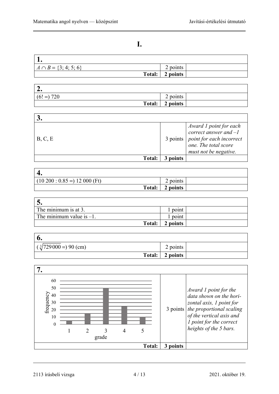### **I.**

| $A \cap B = \{3; 4; 5; 6\}$ | points   |  |
|-----------------------------|----------|--|
| Total:                      | 2 points |  |

| $\sqrt{2}$<br>٠. |                         |  |
|------------------|-------------------------|--|
| $(6! =) 720$     | $\angle$ points $\perp$ |  |
| Total:           | 2 points                |  |

| B, C, E       |        | $\begin{cases} \textit{Award 1 point for each} \\ \textit{correct answer and } -1 \end{cases}$<br>$\begin{array}{c c} 3 \text{ points} & point for each incorrect \\ \text{one.} & The total score \end{array}$<br>must not be negative. |
|---------------|--------|------------------------------------------------------------------------------------------------------------------------------------------------------------------------------------------------------------------------------------------|
| <b>Total:</b> | points |                                                                                                                                                                                                                                          |

| $\Delta$<br>т.                  |               |          |  |
|---------------------------------|---------------|----------|--|
| $(10\ 200: 0.85 = 12\ 000$ (Ft) |               | points   |  |
|                                 | <b>Total:</b> | 2 points |  |

| The minimum is at 3.        | point    |  |
|-----------------------------|----------|--|
| The minimum value is $-1$ . | point    |  |
| Total:                      | 2 points |  |

| o.                           |          |  |
|------------------------------|----------|--|
| $(\sqrt[3]{729000})$ 90 (cm) | 2 points |  |
| Total:                       | 2 points |  |



2113 írásbeli vizsga 4 / 13 2021. október 19.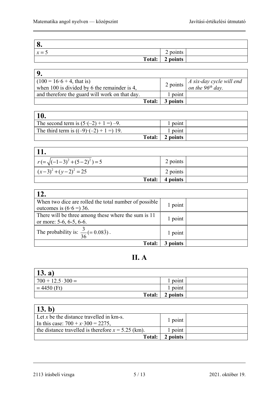| Q<br>о. |                       |  |
|---------|-----------------------|--|
| $x = 5$ | $\sim$<br>points<br>⊷ |  |
| Total:  | 2 points              |  |

| $(100 = 16.6 + 4, that is)$<br>when 100 is divided by 6 the remainder is 4, |          | 2 points $\begin{vmatrix} A & \text{six-day cycle will end} \\ \text{on the 96}^{th} & \text{day.} \end{vmatrix}$ |
|-----------------------------------------------------------------------------|----------|-------------------------------------------------------------------------------------------------------------------|
| and therefore the guard will work on that day.                              | 1 point  |                                                                                                                   |
| <b>Total:</b>                                                               | 3 points |                                                                                                                   |

| $\mathbf{10.}$                                 |        |          |  |
|------------------------------------------------|--------|----------|--|
| The second term is $(5 \cdot (-2) + 1 =) -9$ . |        | point    |  |
| The third term is $((-9)(-2) + 1 =) 19$ .      |        | point    |  |
|                                                | Total: | 2 points |  |

| 11.                                 |                   |  |
|-------------------------------------|-------------------|--|
| $r = \sqrt{(-1-3)^2 + (5-2)^2} = 5$ | 2 points          |  |
| $(x-3)^2 + (y-2)^2 = 25$            | 2 points          |  |
|                                     | Total:   4 points |  |

| 12.                                                                                  |          |  |
|--------------------------------------------------------------------------------------|----------|--|
| When two dice are rolled the total number of possible<br>outcomes is $(6.6 = ) 36$ . | 1 point  |  |
| There will be three among these where the sum is 11<br>or more: 5-6, 6-5, 6-6.       | 1 point  |  |
| The probability is: $\frac{3}{36} (= 0.083)$ .                                       | 1 point  |  |
| <b>Total:</b>                                                                        | 3 points |  |

### **II. A**

| $\vert$ 13. a)           |          |  |
|--------------------------|----------|--|
| $700 + 12.5 \cdot 300 =$ | 1 point  |  |
| $= 4450$ (Ft)            | 1 point  |  |
| Total:                   | 2 points |  |

| (13. b)                                                                                   |          |  |
|-------------------------------------------------------------------------------------------|----------|--|
| Let x be the distance travelled in $km-s$ .<br>In this case: $700 + x \cdot 300 = 2275$ , | 1 point  |  |
| the distance travelled is therefore $x = 5.25$ (km).                                      | 1 point  |  |
| <b>Total:</b>                                                                             | 2 points |  |

<sup>2113</sup> írásbeli vizsga 5 / 13 2021. október 19.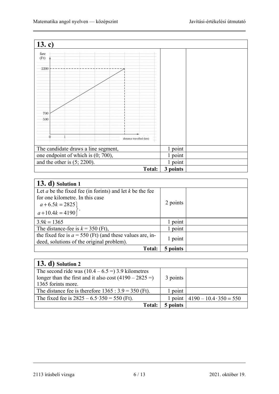| 13.c)                               |          |  |
|-------------------------------------|----------|--|
| fare<br>(Ft)                        |          |  |
| 2200                                |          |  |
| 700<br>500                          |          |  |
| distance travelled (km)             |          |  |
| The candidate draws a line segment, | 1 point  |  |
| one endpoint of which is (0; 700),  | 1 point  |  |
| and the other is $(5; 2200)$ .      | 1 point  |  |
| <b>Total:</b>                       | 3 points |  |

| 13. d) Solution 1                                                                                                                     |          |  |
|---------------------------------------------------------------------------------------------------------------------------------------|----------|--|
| Let $a$ be the fixed fee (in formts) and let $k$ be the fee<br>for one kilometre. In this case<br>$a+6.5k = 2825$<br>$a+10.4k = 4190$ | 2 points |  |
| $3.9k = 1365$                                                                                                                         | 1 point  |  |
| The distance-fee is $k = 350$ (Ft),                                                                                                   | 1 point  |  |
| the fixed fee is $a = 550$ (Ft) (and these values are, in-<br>deed, solutions of the original problem).                               | 1 point  |  |
| <b>Total:</b>                                                                                                                         | 5 points |  |

| $\vert$ 13. d) Solution 2                              |          |                                        |
|--------------------------------------------------------|----------|----------------------------------------|
| The second ride was $(10.4 - 6.5 = 3.9$ kilometres     |          |                                        |
| longer than the first and it also cost $(4190 - 2825)$ | 3 points |                                        |
| 1365 forints more.                                     |          |                                        |
| The distance fee is therefore $1365 : 3.9 = 350$ (Ft). | 1 point  |                                        |
| The fixed fee is $2825 - 6.5 \cdot 350 = 550$ (Ft).    |          | 1 point $ 4190 - 10.4 \cdot 350 = 550$ |
| <b>Total:</b>                                          | 5 points |                                        |

<sup>2113</sup> írásbeli vizsga 6 / 13 2021. október 19.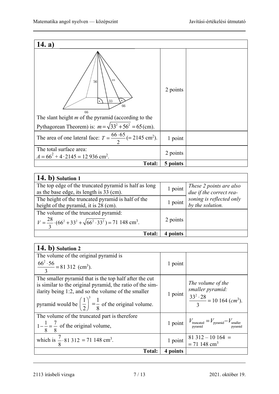| 14. a)                                                                                                                                             |          |  |
|----------------------------------------------------------------------------------------------------------------------------------------------------|----------|--|
| m<br>56<br>33<br>66<br>66<br>The slant height $m$ of the pyramid (according to the<br>Pythagorean Theorem) is: $m = \sqrt{33^2 + 56^2} = 65$ (cm). | 2 points |  |
| The area of one lateral face: $T = \frac{66 \cdot 65}{2}$ (= 2145 cm <sup>2</sup> ).                                                               | 1 point  |  |
| The total surface area:<br>$A = 66^2 + 4.2145 = 12936$ cm <sup>2</sup> .                                                                           | 2 points |  |
| Total:                                                                                                                                             | 5 points |  |

| $(14. b)$ Solution 1                                                                                                                 |           |                                                    |
|--------------------------------------------------------------------------------------------------------------------------------------|-----------|----------------------------------------------------|
| The top edge of the truncated pyramid is half as long<br>as the base edge, its length is 33 (cm).                                    | 1 point   | These 2 points are also<br>due if the correct rea- |
| The height of the truncated pyramid is half of the<br>height of the pyramid, it is 28 (cm).                                          | $1$ point | soning is reflected only<br>by the solution.       |
| The volume of the truncated pyramid:<br>$V = \frac{28}{3} \cdot (66^2 + 33^2 + \sqrt{66^2 \cdot 33^2}) = 71 \cdot 148 \text{ cm}^3.$ | 2 points  |                                                    |
| <b>Total:</b>                                                                                                                        | noints    |                                                    |

| $(14. b)$ Solution 2                                                                                                                                                                                                                                              |          |                                                                                                           |
|-------------------------------------------------------------------------------------------------------------------------------------------------------------------------------------------------------------------------------------------------------------------|----------|-----------------------------------------------------------------------------------------------------------|
| The volume of the original pyramid is                                                                                                                                                                                                                             |          |                                                                                                           |
| $\frac{66^2 \cdot 56}{2}$ = 81 312 (cm <sup>3</sup> ).                                                                                                                                                                                                            | 1 point  |                                                                                                           |
| The smaller pyramid that is the top half after the cut<br>is similar to the original pyramid, the ratio of the sim-<br>ilarity being 1:2, and so the volume of the smaller<br>pyramid would be $\left(\frac{1}{2}\right)^3 = \frac{1}{8}$ of the original volume. |          | The volume of the<br>smaller pyramid:<br>1 point $\frac{33^2 \cdot 28}{3} = 10 \cdot 164 \text{ (cm}^3).$ |
| The volume of the truncated part is therefore<br>$1-\frac{1}{8}=\frac{7}{8}$ of the original volume,                                                                                                                                                              |          | 1 point $V_{\text{truncated}} = V_{\text{pyramid}} - V_{\text{smaller}}$                                  |
| which is $\frac{7}{8} \cdot 81312 = 71148$ cm <sup>3</sup> .                                                                                                                                                                                                      | 1 point  | $\begin{array}{ l} 81312 - 10164 = \\ = 71148 \text{ cm}^3 \end{array}$                                   |
| <b>Total:</b>                                                                                                                                                                                                                                                     | 4 points |                                                                                                           |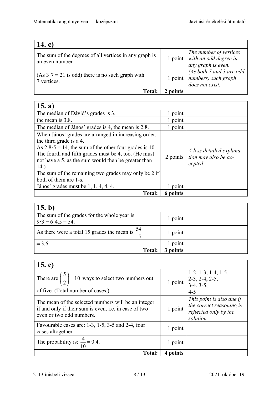| 14. c)                                                                    |         |                                                                         |
|---------------------------------------------------------------------------|---------|-------------------------------------------------------------------------|
| The sum of the degrees of all vertices in any graph is<br>an even number. | 1 point | The number of vertices<br>with an odd degree in<br>any graph is even.   |
| $(As 3.7 = 21$ is odd) there is no such graph with<br>7 vertices.         | 1 point | $(As both 7 and 3 are odd)$<br>  numbers) such graph<br>does not exist. |
| <b>Total:</b>                                                             | points  |                                                                         |

| 15. a)                                                                                                                                                                                                                                                                                                                                                     |            |                                                             |
|------------------------------------------------------------------------------------------------------------------------------------------------------------------------------------------------------------------------------------------------------------------------------------------------------------------------------------------------------------|------------|-------------------------------------------------------------|
| The median of Dávid's grades is 3,                                                                                                                                                                                                                                                                                                                         | 1 point    |                                                             |
| the mean is 3.8.                                                                                                                                                                                                                                                                                                                                           | 1 point    |                                                             |
| The median of János' grades is 4, the mean is 2.8.                                                                                                                                                                                                                                                                                                         | point<br>L |                                                             |
| When János' grades are arranged in increasing order,<br>the third grade is a 4.<br>As $2.8 \cdot 5 = 14$ , the sum of the other four grades is 10.<br>The fourth and fifth grades must be 4, too. (He must<br>not have a 5, as the sum would then be greater than<br>14.)<br>The sum of the remaining two grades may only be 2 if<br>both of them are 1-s. | 2 points   | A less detailed explana-<br>tion may also be ac-<br>cepted. |
| János' grades must be 1, 1, 4, 4, 4.                                                                                                                                                                                                                                                                                                                       | 1 point    |                                                             |
| <b>Total:</b>                                                                                                                                                                                                                                                                                                                                              | 6 points   |                                                             |

| $\vert$ 15. b)                                                     |         |  |
|--------------------------------------------------------------------|---------|--|
| The sum of the grades for the whole year is<br>$9.3 + 6.4.5 = 54.$ | 1 point |  |
| As there were a total 15 grades the mean is $\frac{54}{1}$ =<br>15 | 1 point |  |
| $= 3.6.$                                                           | 1 point |  |
| <b>Total:</b>                                                      | points  |  |

| 15. c)                                                                                                                                   |          |                                                                                                         |
|------------------------------------------------------------------------------------------------------------------------------------------|----------|---------------------------------------------------------------------------------------------------------|
| There are $\binom{5}{2}$ = 10 ways to select two numbers out<br>of five. (Total number of cases.)                                        |          | $1-2, 1-3, 1-4, 1-5,$<br>1 point $\begin{vmatrix} 2-3, 2-4, 2-5, \\ 3-4, 3-5, \end{vmatrix}$<br>$4 - 5$ |
| The mean of the selected numbers will be an integer<br>if and only if their sum is even, i.e. in case of two<br>even or two odd numbers. | 1 point  | This point is also due if<br>the correct reasoning is<br>reflected only by the<br>solution.             |
| Favourable cases are: $1-3$ , $1-5$ , $3-5$ and $2-4$ , four<br>cases altogether.                                                        | 1 point  |                                                                                                         |
| The probability is: $\frac{4}{10}$ = 0.4.                                                                                                | 1 point  |                                                                                                         |
| <b>Total:</b>                                                                                                                            | 4 points |                                                                                                         |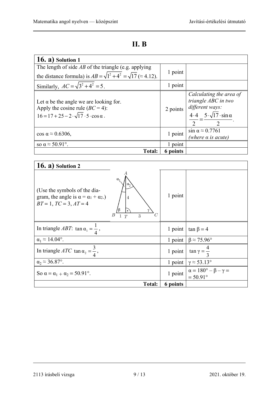| × |  |
|---|--|
|---|--|

| $(16. a)$ Solution 1                                                                                                                                  |          |                                                                                                                                                   |
|-------------------------------------------------------------------------------------------------------------------------------------------------------|----------|---------------------------------------------------------------------------------------------------------------------------------------------------|
| The length of side $AB$ of the triangle (e.g. applying                                                                                                |          |                                                                                                                                                   |
| the distance formula) is $AB = \sqrt{1^2 + 4^2} = \sqrt{17}$ ( $\approx$ 4.12).                                                                       | 1 point  |                                                                                                                                                   |
| Similarly, $AC = \sqrt{3^2 + 4^2} = 5$ .                                                                                                              | 1 point  |                                                                                                                                                   |
| Let $\alpha$ be the angle we are looking for.<br>Apply the cosine rule $(BC = 4)$ :<br>$16 = 17 + 25 - 2 \cdot \sqrt{17} \cdot 5 \cdot \cos \alpha$ . | 2 points | Calculating the area of<br>triangle ABC in two<br>different ways:<br>$\frac{4.4}{1} = \frac{5 \cdot \sqrt{17} \cdot \sin \alpha}{1}$<br>$\bigcap$ |
| $\cos \alpha \approx 0.6306$ ,                                                                                                                        | 1 point  | $\sin \alpha \approx 0.7761$<br>(where $\alpha$ is acute)                                                                                         |
| so $\alpha \approx 50.91^{\circ}$ .                                                                                                                   | 1 point  |                                                                                                                                                   |
| <b>Total:</b>                                                                                                                                         | 6 points |                                                                                                                                                   |

| $16. a)$ Solution 2                                                                                                   |                                    |          |                                                              |
|-----------------------------------------------------------------------------------------------------------------------|------------------------------------|----------|--------------------------------------------------------------|
| (Use the symbols of the dia-<br>gram, the angle is $\alpha = \alpha_1 + \alpha_2$ .<br>$BT = 1$ , $TC = 3$ , $AT = 4$ | $\overline{4}$<br>В<br>C<br>3<br>T | 1 point  |                                                              |
| In triangle <i>ABT</i> : tan $\alpha_1 = \frac{1}{4}$ ,                                                               |                                    | 1 point  | $\tan \beta = 4$                                             |
| $\alpha_1 \approx 14.04^\circ$ .                                                                                      |                                    | 1 point  | $\beta \approx 75.96^{\circ}$                                |
| In triangle <i>ATC</i> tan $\alpha_2 = \frac{3}{4}$ ,                                                                 |                                    | 1 point  | $\tan \gamma = \frac{4}{3}$                                  |
| $\alpha_2 \approx 36.87$ °.                                                                                           |                                    | 1 point  | $\gamma \approx 53.13^{\circ}$                               |
| So $\alpha = \alpha_1 + \alpha_2 = 50.91^{\circ}$ .                                                                   |                                    | 1 point  | $\alpha = 180^\circ - \beta - \gamma =$<br>$= 50.91^{\circ}$ |
|                                                                                                                       | <b>Total:</b>                      | 6 points |                                                              |

2113 írásbeli vizsga 9 / 13 2021. október 19.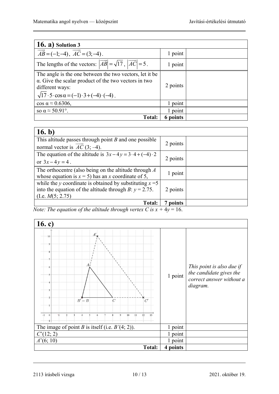| $16. a)$ Solution 3                                                                                                                                                                                                    |          |  |
|------------------------------------------------------------------------------------------------------------------------------------------------------------------------------------------------------------------------|----------|--|
| $\overrightarrow{AB} = (-1, -4), \overrightarrow{AC} = (3, -4).$                                                                                                                                                       | 1 point  |  |
| The lengths of the vectors: $ \overrightarrow{AB}  = \sqrt{17}$ , $ \overrightarrow{AC}  = 5$ .                                                                                                                        | 1 point  |  |
| The angle is the one between the two vectors, let it be<br>$\alpha$ . Give the scalar product of the two vectors in two<br>different ways:<br>$\sqrt{17 \cdot 5 \cdot \cos \alpha} = (-1) \cdot 3 + (-4) \cdot (-4)$ . | 2 points |  |
| $\cos \alpha \approx 0.6306$ ,                                                                                                                                                                                         | 1 point  |  |
| so $\alpha \approx 50.91^{\circ}$ .                                                                                                                                                                                    | 1 point  |  |
| <b>Total:</b>                                                                                                                                                                                                          | 6 points |  |

| 16. b)                                                                                                                                          |          |  |
|-------------------------------------------------------------------------------------------------------------------------------------------------|----------|--|
| This altitude passes through point $B$ and one possible<br>normal vector is $AC(3, -4)$ .                                                       | 2 points |  |
| The equation of the altitude is $3x-4y=3\cdot 4+(-4)\cdot 2$<br>or $3x-4y=4$ .                                                                  | 2 points |  |
| The orthocentre (also being on the altitude through $\Lambda$<br>whose equation is $x = 5$ ) has an x coordinate of 5,                          | 1 point  |  |
| while the y coordinate is obtained by substituting $x = 5$<br>into the equation of the altitude through B: $y = 2.75$ .<br>(I.e. $M(5; 2.75)$ ) | 2 points |  |
| <b>Total:</b>                                                                                                                                   | points   |  |

*Note: The equation of the altitude through vertex C is*  $x + 4y = 16$ *.* 



2113 írásbeli vizsga 10 / 13 2021. október 19.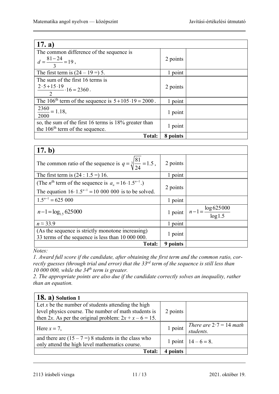| 17. a)                                                                                     |          |  |
|--------------------------------------------------------------------------------------------|----------|--|
| The common difference of the sequence is                                                   |          |  |
| $d=\frac{81-24}{3}=19$ ,                                                                   | 2 points |  |
| The first term is $(24 – 19 = 5$ .                                                         | 1 point  |  |
| The sum of the first 16 terms is                                                           |          |  |
| $\frac{2 \cdot 5 + 15 \cdot 19}{2 \cdot 16} \cdot 16 = 2360$ .                             | 2 points |  |
| The 106 <sup>th</sup> term of the sequence is $5+105 \cdot 19 = 2000$ .                    | 1 point  |  |
| $\frac{2360}{118}$ ,<br>2000                                                               | 1 point  |  |
| so, the sum of the first 16 terms is 18% greater than<br>the $106th$ term of the sequence. | 1 point  |  |
| <b>Total:</b>                                                                              | 8 points |  |

| 17. b)                                                                                                                                             |          |                                              |
|----------------------------------------------------------------------------------------------------------------------------------------------------|----------|----------------------------------------------|
| The common ratio of the sequence is $q = \sqrt[3]{\frac{81}{24}} = 1.5$ ,                                                                          | 2 points |                                              |
| The first term is $(24:1.5=) 16$ .                                                                                                                 | 1 point  |                                              |
| (The <i>n</i> <sup>th</sup> term of the sequence is $a_n = 16 \cdot 1.5^{n-1}$ .)<br>The equation $16 \cdot 1.5^{n-1} = 10000000$ is to be solved. | 2 points |                                              |
| $1.5^{n-1} = 625000$                                                                                                                               | 1 point  |                                              |
| $n-1 = \log_{1.5} 625000$                                                                                                                          |          | 1 point $n-1 = \frac{\log 625000}{\log 1.5}$ |
| $n \approx 33.9$                                                                                                                                   | 1 point  |                                              |
| (As the sequence is strictly monotone increasing)<br>33 terms of the sequence is less than 10 000 000.                                             | 1 point  |                                              |
| <b>Total:</b>                                                                                                                                      | 9 points |                                              |

*Notes:* 

*1. Award full score if the candidate, after obtaining the first term and the common ratio, correctly guesses (through trial and error) that the 33rd term of the sequence is still less than 10 000 000, while the 34th term is greater.* 

*2. The appropriate points are also due if the candidate correctly solves an inequality, rather than an equation.*

| $(18. a)$ Solution 1                                                                                                                                                    |          |                                              |
|-------------------------------------------------------------------------------------------------------------------------------------------------------------------------|----------|----------------------------------------------|
| Let x be the number of students attending the high<br>level physics course. The number of math students is<br>then 2x. As per the original problem: $2x + x - 6 = 15$ . | 2 points |                                              |
| Here $x = 7$ ,                                                                                                                                                          | 1 point  | There are $2 \cdot 7 = 14$ math<br>students. |
| and there are $(15 - 7 =) 8$ students in the class who<br>only attend the high level mathematics course.                                                                |          | 1 point $14-6=8$ .                           |
| <b>Total:</b>                                                                                                                                                           | points   |                                              |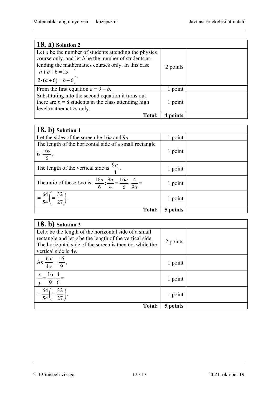| $18. a)$ Solution 2                                                                                                                                                                                                                      |          |  |
|------------------------------------------------------------------------------------------------------------------------------------------------------------------------------------------------------------------------------------------|----------|--|
| Let $a$ be the number of students attending the physics<br>course only, and let b be the number of students at-<br>tending the mathematics courses only. In this case<br>$\begin{bmatrix} a+b+6=15 \\ 2 \cdot (a+6)=b+6 \end{bmatrix}$ . | 2 points |  |
| From the first equation $a = 9 - b$ .                                                                                                                                                                                                    | 1 point  |  |
| Substituting into the second equation it turns out<br>there are $b = 8$ students in the class attending high<br>level mathematics only.                                                                                                  | 1 point  |  |
| <b>Total:</b>                                                                                                                                                                                                                            | points   |  |

| 18. b) Solution 1                                                                                |          |  |
|--------------------------------------------------------------------------------------------------|----------|--|
| Let the sides of the screen be $16a$ and $9a$ .                                                  | 1 point  |  |
| The length of the horizontal side of a small rectangle                                           |          |  |
| is $\frac{16a}{1}$ ,                                                                             | 1 point  |  |
| $6\overline{6}$                                                                                  |          |  |
| The length of the vertical side is $\frac{9a}{4}$ .                                              | 1 point  |  |
| The ratio of these two is: $\frac{16a}{6}$ : $\frac{9a}{4} = \frac{16a}{6} \cdot \frac{4}{9a} =$ | 1 point  |  |
| $=\frac{64}{54}\left(=\frac{32}{27}\right).$                                                     | 1 point  |  |
| <b>Total:</b>                                                                                    | 5 points |  |

| 18. b) Solution 2                                                                                                                                                                                        |          |  |
|----------------------------------------------------------------------------------------------------------------------------------------------------------------------------------------------------------|----------|--|
| Let x be the length of the horizontal side of a small<br>rectangle and let $y$ be the length of the vertical side.<br>The horizontal side of the screen is then 6x, while the<br>vertical side is $4y$ . | 2 points |  |
| As $\frac{6x}{4y} = \frac{16}{9}$ ,                                                                                                                                                                      | 1 point  |  |
| $\frac{x}{-} = \frac{16}{-} \cdot \frac{4}{-} =$<br>$-96$                                                                                                                                                | 1 point  |  |
| 32<br>-64<br>$\overline{54}$                                                                                                                                                                             | 1 point  |  |
| <b>Total:</b>                                                                                                                                                                                            | 5 points |  |

<sup>2113</sup> írásbeli vizsga 12 / 13 2021. október 19.